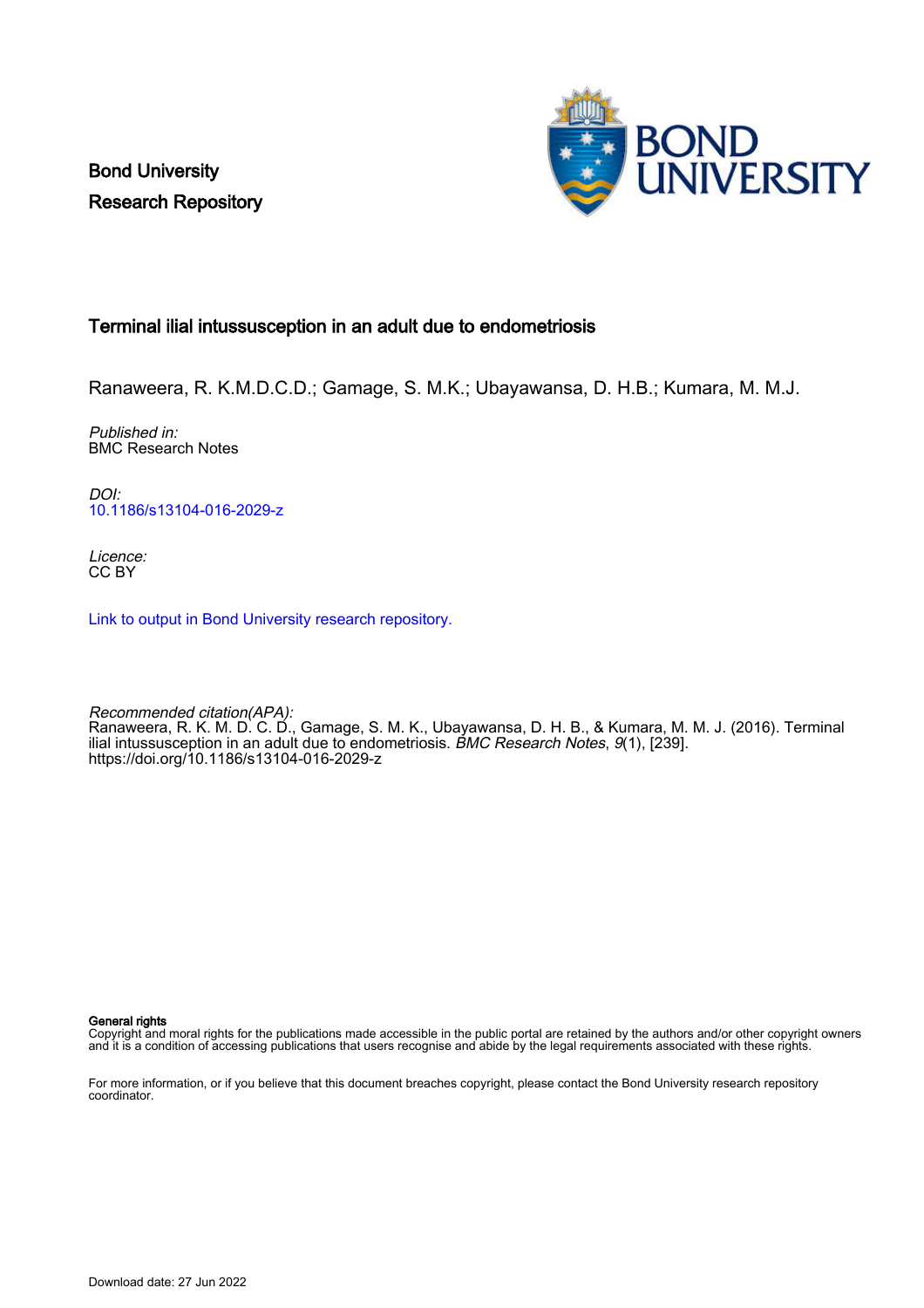Bond University Research Repository



# Terminal ilial intussusception in an adult due to endometriosis

Ranaweera, R. K.M.D.C.D.; Gamage, S. M.K.; Ubayawansa, D. H.B.; Kumara, M. M.J.

Published in: BMC Research Notes

 $D$  $O$ [10.1186/s13104-016-2029-z](https://doi.org/10.1186/s13104-016-2029-z)

Licence: CC BY

[Link to output in Bond University research repository.](https://research.bond.edu.au/en/publications/90fab925-75af-43c6-b31a-d8b9897a67f5)

Recommended citation(APA): Ranaweera, R. K. M. D. C. D., Gamage, S. M. K., Ubayawansa, D. H. B., & Kumara, M. M. J. (2016). Terminal ilial intussusception in an adult due to endometriosis. *BMC Research Notes*, *9*(1), [239]. <https://doi.org/10.1186/s13104-016-2029-z>

General rights

Copyright and moral rights for the publications made accessible in the public portal are retained by the authors and/or other copyright owners and it is a condition of accessing publications that users recognise and abide by the legal requirements associated with these rights.

For more information, or if you believe that this document breaches copyright, please contact the Bond University research repository coordinator.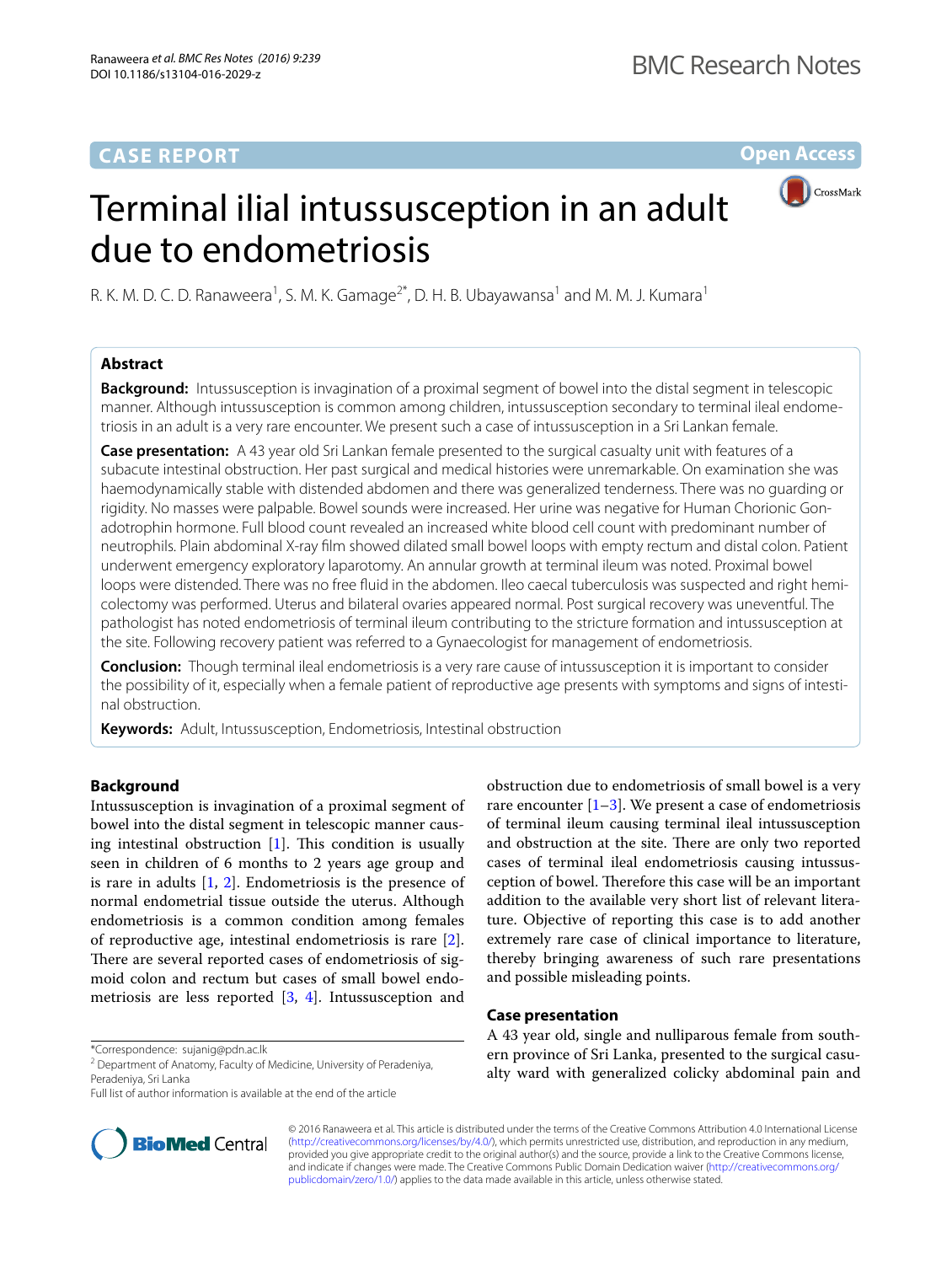## **CASE REPORT**

**Open Access**



# Terminal ilial intussusception in an adult due to endometriosis

R. K. M. D. C. D. Ranaweera<sup>1</sup>, S. M. K. Gamage<sup>2\*</sup>, D. H. B. Ubayawansa<sup>1</sup> and M. M. J. Kumara<sup>1</sup>

## **Abstract**

**Background:** Intussusception is invagination of a proximal segment of bowel into the distal segment in telescopic manner. Although intussusception is common among children, intussusception secondary to terminal ileal endometriosis in an adult is a very rare encounter. We present such a case of intussusception in a Sri Lankan female.

**Case presentation:** A 43 year old Sri Lankan female presented to the surgical casualty unit with features of a subacute intestinal obstruction. Her past surgical and medical histories were unremarkable. On examination she was haemodynamically stable with distended abdomen and there was generalized tenderness. There was no guarding or rigidity. No masses were palpable. Bowel sounds were increased. Her urine was negative for Human Chorionic Gonadotrophin hormone. Full blood count revealed an increased white blood cell count with predominant number of neutrophils. Plain abdominal X-ray film showed dilated small bowel loops with empty rectum and distal colon. Patient underwent emergency exploratory laparotomy. An annular growth at terminal ileum was noted. Proximal bowel loops were distended. There was no free fluid in the abdomen. Ileo caecal tuberculosis was suspected and right hemicolectomy was performed. Uterus and bilateral ovaries appeared normal. Post surgical recovery was uneventful. The pathologist has noted endometriosis of terminal ileum contributing to the stricture formation and intussusception at the site. Following recovery patient was referred to a Gynaecologist for management of endometriosis.

**Conclusion:** Though terminal ileal endometriosis is a very rare cause of intussusception it is important to consider the possibility of it, especially when a female patient of reproductive age presents with symptoms and signs of intestinal obstruction.

**Keywords:** Adult, Intussusception, Endometriosis, Intestinal obstruction

## **Background**

Intussusception is invagination of a proximal segment of bowel into the distal segment in telescopic manner causing intestinal obstruction [\[1\]](#page-3-0). This condition is usually seen in children of 6 months to 2 years age group and is rare in adults  $[1, 2]$  $[1, 2]$  $[1, 2]$ . Endometriosis is the presence of normal endometrial tissue outside the uterus. Although endometriosis is a common condition among females of reproductive age, intestinal endometriosis is rare [\[2](#page-3-1)]. There are several reported cases of endometriosis of sigmoid colon and rectum but cases of small bowel endometriosis are less reported [\[3](#page-3-2), [4\]](#page-3-3). Intussusception and

\*Correspondence: sujanig@pdn.ac.lk



#### **Case presentation**

A 43 year old, single and nulliparous female from southern province of Sri Lanka, presented to the surgical casualty ward with generalized colicky abdominal pain and



© 2016 Ranaweera et al. This article is distributed under the terms of the Creative Commons Attribution 4.0 International License [\(http://creativecommons.org/licenses/by/4.0/\)](http://creativecommons.org/licenses/by/4.0/), which permits unrestricted use, distribution, and reproduction in any medium, provided you give appropriate credit to the original author(s) and the source, provide a link to the Creative Commons license, and indicate if changes were made. The Creative Commons Public Domain Dedication waiver ([http://creativecommons.org/](http://creativecommons.org/publicdomain/zero/1.0/) [publicdomain/zero/1.0/](http://creativecommons.org/publicdomain/zero/1.0/)) applies to the data made available in this article, unless otherwise stated.

<sup>&</sup>lt;sup>2</sup> Department of Anatomy, Faculty of Medicine, University of Peradeniya, Peradeniya, Sri Lanka

Full list of author information is available at the end of the article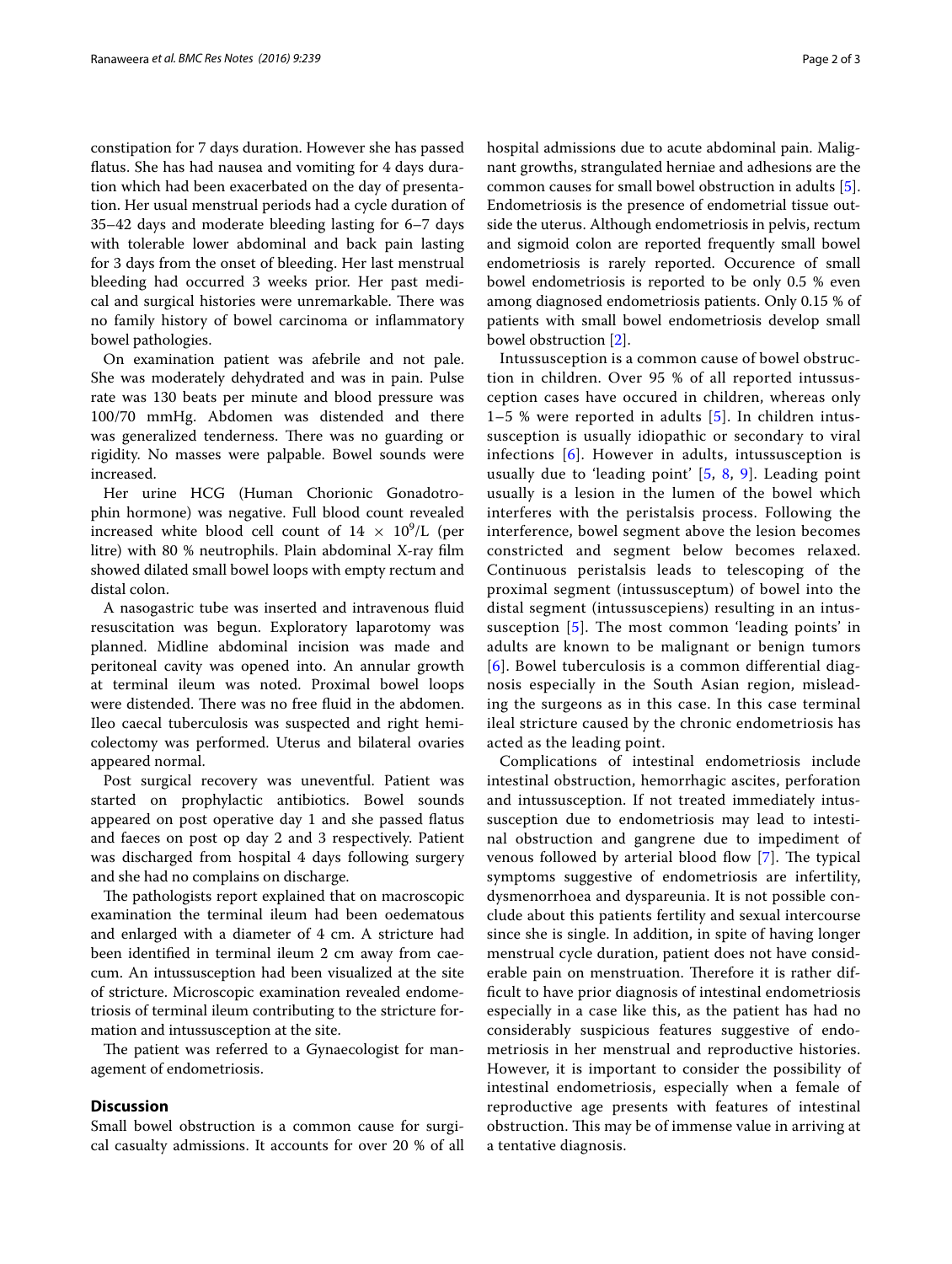constipation for 7 days duration. However she has passed flatus. She has had nausea and vomiting for 4 days duration which had been exacerbated on the day of presentation. Her usual menstrual periods had a cycle duration of 35–42 days and moderate bleeding lasting for 6–7 days with tolerable lower abdominal and back pain lasting for 3 days from the onset of bleeding. Her last menstrual bleeding had occurred 3 weeks prior. Her past medical and surgical histories were unremarkable. There was no family history of bowel carcinoma or inflammatory bowel pathologies.

On examination patient was afebrile and not pale. She was moderately dehydrated and was in pain. Pulse rate was 130 beats per minute and blood pressure was 100/70 mmHg. Abdomen was distended and there was generalized tenderness. There was no guarding or rigidity. No masses were palpable. Bowel sounds were increased.

Her urine HCG (Human Chorionic Gonadotrophin hormone) was negative. Full blood count revealed increased white blood cell count of  $14 \times 10^9$ /L (per litre) with 80 % neutrophils. Plain abdominal X-ray film showed dilated small bowel loops with empty rectum and distal colon.

A nasogastric tube was inserted and intravenous fluid resuscitation was begun. Exploratory laparotomy was planned. Midline abdominal incision was made and peritoneal cavity was opened into. An annular growth at terminal ileum was noted. Proximal bowel loops were distended. There was no free fluid in the abdomen. Ileo caecal tuberculosis was suspected and right hemicolectomy was performed. Uterus and bilateral ovaries appeared normal.

Post surgical recovery was uneventful. Patient was started on prophylactic antibiotics. Bowel sounds appeared on post operative day 1 and she passed flatus and faeces on post op day 2 and 3 respectively. Patient was discharged from hospital 4 days following surgery and she had no complains on discharge.

The pathologists report explained that on macroscopic examination the terminal ileum had been oedematous and enlarged with a diameter of 4 cm. A stricture had been identified in terminal ileum 2 cm away from caecum. An intussusception had been visualized at the site of stricture. Microscopic examination revealed endometriosis of terminal ileum contributing to the stricture formation and intussusception at the site.

The patient was referred to a Gynaecologist for management of endometriosis.

### **Discussion**

Small bowel obstruction is a common cause for surgical casualty admissions. It accounts for over 20 % of all hospital admissions due to acute abdominal pain. Malignant growths, strangulated herniae and adhesions are the common causes for small bowel obstruction in adults [\[5](#page-3-4)]. Endometriosis is the presence of endometrial tissue outside the uterus. Although endometriosis in pelvis, rectum and sigmoid colon are reported frequently small bowel endometriosis is rarely reported. Occurence of small bowel endometriosis is reported to be only 0.5 % even among diagnosed endometriosis patients. Only 0.15 % of patients with small bowel endometriosis develop small bowel obstruction [\[2](#page-3-1)].

Intussusception is a common cause of bowel obstruction in children. Over 95 % of all reported intussusception cases have occured in children, whereas only  $1-5$  % were reported in adults [[5\]](#page-3-4). In children intussusception is usually idiopathic or secondary to viral infections [[6](#page-3-5)]. However in adults, intussusception is usually due to 'leading point' [\[5](#page-3-4), [8,](#page-3-6) [9](#page-3-7)]. Leading point usually is a lesion in the lumen of the bowel which interferes with the peristalsis process. Following the interference, bowel segment above the lesion becomes constricted and segment below becomes relaxed. Continuous peristalsis leads to telescoping of the proximal segment (intussusceptum) of bowel into the distal segment (intussuscepiens) resulting in an intussusception [[5\]](#page-3-4). The most common 'leading points' in adults are known to be malignant or benign tumors [[6](#page-3-5)]. Bowel tuberculosis is a common differential diagnosis especially in the South Asian region, misleading the surgeons as in this case. In this case terminal ileal stricture caused by the chronic endometriosis has acted as the leading point.

Complications of intestinal endometriosis include intestinal obstruction, hemorrhagic ascites, perforation and intussusception. If not treated immediately intussusception due to endometriosis may lead to intestinal obstruction and gangrene due to impediment of venous followed by arterial blood flow [\[7](#page-3-8)]. The typical symptoms suggestive of endometriosis are infertility, dysmenorrhoea and dyspareunia. It is not possible conclude about this patients fertility and sexual intercourse since she is single. In addition, in spite of having longer menstrual cycle duration, patient does not have considerable pain on menstruation. Therefore it is rather difficult to have prior diagnosis of intestinal endometriosis especially in a case like this, as the patient has had no considerably suspicious features suggestive of endometriosis in her menstrual and reproductive histories. However, it is important to consider the possibility of intestinal endometriosis, especially when a female of reproductive age presents with features of intestinal obstruction. This may be of immense value in arriving at a tentative diagnosis.